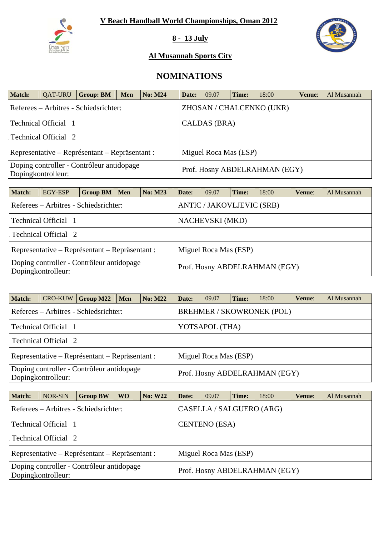

**8 - 13 July** 



### **Al Musannah Sports City**

# **NOMINATIONS**

| <b>Match:</b>                                                           | <b>QAT-URU</b>              | <b>Group: BM</b>                      | <b>Men</b> | <b>No: M24</b> | Date: | 09.07        | Time: | 18:00                         | Venue: | Al Musannah |
|-------------------------------------------------------------------------|-----------------------------|---------------------------------------|------------|----------------|-------|--------------|-------|-------------------------------|--------|-------------|
|                                                                         |                             | Referees – Arbitres - Schiedsrichter: |            |                |       |              |       | ZHOSAN / CHALCENKO (UKR)      |        |             |
|                                                                         | <b>Technical Official</b> 1 |                                       |            |                |       | CALDAS (BRA) |       |                               |        |             |
|                                                                         | Technical Official 2        |                                       |            |                |       |              |       |                               |        |             |
| Representative – Représentant – Repräsentant :<br>Miguel Roca Mas (ESP) |                             |                                       |            |                |       |              |       |                               |        |             |
| Doping controller - Contrôleur antidopage<br>Dopingkontrolleur:         |                             |                                       |            |                |       |              |       | Prof. Hosny ABDELRAHMAN (EGY) |        |             |

| <b>Match:</b>                                                             | EGY-ESP                                                                 | <b>Group BM</b> | Men | <b>No: M23</b> | Date: | 09.07 | Time: | 18:00                         | Venue: | Al Musannah |
|---------------------------------------------------------------------------|-------------------------------------------------------------------------|-----------------|-----|----------------|-------|-------|-------|-------------------------------|--------|-------------|
| <b>ANTIC / JAKOVLJEVIC (SRB)</b><br>Referees – Arbitres - Schiedsrichter: |                                                                         |                 |     |                |       |       |       |                               |        |             |
| Technical Official 1<br><b>NACHEVSKI</b> (MKD)                            |                                                                         |                 |     |                |       |       |       |                               |        |             |
|                                                                           | Technical Official 2                                                    |                 |     |                |       |       |       |                               |        |             |
|                                                                           | Representative – Représentant – Repräsentant :<br>Miguel Roca Mas (ESP) |                 |     |                |       |       |       |                               |        |             |
|                                                                           | Doping controller - Contrôleur antidopage<br>Dopingkontrolleur:         |                 |     |                |       |       |       | Prof. Hosny ABDELRAHMAN (EGY) |        |             |

| <b>Match:</b> |                             | $CRO-KUW$ Group M22                                                     | Men | <b>No: M22</b> | Date:                            | 09.07 | Time: | 18:00                         | Venue: | Al Musannah |  |  |  |
|---------------|-----------------------------|-------------------------------------------------------------------------|-----|----------------|----------------------------------|-------|-------|-------------------------------|--------|-------------|--|--|--|
|               |                             | Referees – Arbitres - Schiedsrichter:                                   |     |                | <b>BREHMER / SKOWRONEK (POL)</b> |       |       |                               |        |             |  |  |  |
|               | Technical Official 1        |                                                                         |     | YOTSAPOL (THA) |                                  |       |       |                               |        |             |  |  |  |
|               | <b>Technical Official 2</b> |                                                                         |     |                |                                  |       |       |                               |        |             |  |  |  |
|               |                             | Representative – Représentant – Repräsentant :<br>Miguel Roca Mas (ESP) |     |                |                                  |       |       |                               |        |             |  |  |  |
|               | Dopingkontrolleur:          | Doping controller - Contrôleur antidopage                               |     |                |                                  |       |       | Prof. Hosny ABDELRAHMAN (EGY) |        |             |  |  |  |

| <b>Match:</b> | NOR-SIN                                                         | <b>Group BW</b> | W <sub>O</sub> | <b>No: W22</b> | Date:                | 09.07                    | Time: | 18:00                         | Venue: | Al Musannah |  |  |
|---------------|-----------------------------------------------------------------|-----------------|----------------|----------------|----------------------|--------------------------|-------|-------------------------------|--------|-------------|--|--|
|               | Referees – Arbitres - Schiedsrichter:                           |                 |                |                |                      | CASELLA / SALGUERO (ARG) |       |                               |        |             |  |  |
|               | Technical Official 1                                            |                 |                |                | <b>CENTENO</b> (ESA) |                          |       |                               |        |             |  |  |
|               | Technical Official 2                                            |                 |                |                |                      |                          |       |                               |        |             |  |  |
|               | Representative – Représentant – Repräsentant :                  |                 |                |                |                      | Miguel Roca Mas (ESP)    |       |                               |        |             |  |  |
|               | Doping controller - Contrôleur antidopage<br>Dopingkontrolleur: |                 |                |                |                      |                          |       | Prof. Hosny ABDELRAHMAN (EGY) |        |             |  |  |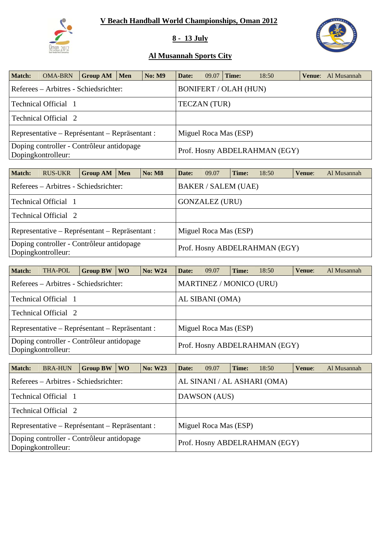

## **8 - 13 July**



| <b>Match:</b> | <b>OMA-BRN</b>                                                  | <b>Group AM</b> | Men | <b>No: M9</b> | Date:               | 09.07 | Time:                        | 18:50                         | <b>Venue:</b> Al Musannah |
|---------------|-----------------------------------------------------------------|-----------------|-----|---------------|---------------------|-------|------------------------------|-------------------------------|---------------------------|
|               | Referees – Arbitres - Schiedsrichter:                           |                 |     |               |                     |       | <b>BONIFERT / OLAH (HUN)</b> |                               |                           |
|               | Technical Official 1                                            |                 |     |               | <b>TECZAN</b> (TUR) |       |                              |                               |                           |
|               | <b>Technical Official 2</b>                                     |                 |     |               |                     |       |                              |                               |                           |
|               | Representative – Représentant – Repräsentant :                  |                 |     |               |                     |       | Miguel Roca Mas (ESP)        |                               |                           |
|               | Doping controller - Contrôleur antidopage<br>Dopingkontrolleur: |                 |     |               |                     |       |                              | Prof. Hosny ABDELRAHMAN (EGY) |                           |

| <b>Match:</b> | <b>RUS-UKR</b>                                                  | Group AM   Men | No: M8 | Date: | 09.07                      | Time: | 18:50                         | Venue: | Al Musannah |
|---------------|-----------------------------------------------------------------|----------------|--------|-------|----------------------------|-------|-------------------------------|--------|-------------|
|               | Referees – Arbitres - Schiedsrichter:                           |                |        |       | <b>BAKER / SALEM (UAE)</b> |       |                               |        |             |
|               | Technical Official 1                                            |                |        |       | <b>GONZALEZ (URU)</b>      |       |                               |        |             |
|               | Technical Official 2                                            |                |        |       |                            |       |                               |        |             |
|               | Representative – Représentant – Repräsentant :                  |                |        |       | Miguel Roca Mas (ESP)      |       |                               |        |             |
|               | Doping controller - Contrôleur antidopage<br>Dopingkontrolleur: |                |        |       |                            |       | Prof. Hosny ABDELRAHMAN (EGY) |        |             |

| <b>Match:</b>                                                   | THA-POL                                        | <b>Group BW</b> | WO. | <b>No: W24</b> | Date:                   | 09.07 | Time: | 18:50                         | Venue: | Al Musannah |  |  |  |
|-----------------------------------------------------------------|------------------------------------------------|-----------------|-----|----------------|-------------------------|-------|-------|-------------------------------|--------|-------------|--|--|--|
|                                                                 | Referees – Arbitres - Schiedsrichter:          |                 |     |                | MARTINEZ / MONICO (URU) |       |       |                               |        |             |  |  |  |
|                                                                 | Technical Official 1                           |                 |     |                | AL SIBANI (OMA)         |       |       |                               |        |             |  |  |  |
|                                                                 | Technical Official 2                           |                 |     |                |                         |       |       |                               |        |             |  |  |  |
|                                                                 | Representative – Représentant – Repräsentant : |                 |     |                | Miguel Roca Mas (ESP)   |       |       |                               |        |             |  |  |  |
| Doping controller - Contrôleur antidopage<br>Dopingkontrolleur: |                                                |                 |     |                |                         |       |       | Prof. Hosny ABDELRAHMAN (EGY) |        |             |  |  |  |

| <b>Match:</b> | <b>BRA-HUN</b>                                                          | <b>Group BW</b> | W <sub>O</sub>              | <b>No: W23</b> | Date: | 09.07        | Time: | 18:50                         | Venue: | Al Musannah |  |  |  |
|---------------|-------------------------------------------------------------------------|-----------------|-----------------------------|----------------|-------|--------------|-------|-------------------------------|--------|-------------|--|--|--|
|               | Referees – Arbitres - Schiedsrichter:                                   |                 | AL SINANI / AL ASHARI (OMA) |                |       |              |       |                               |        |             |  |  |  |
|               | Technical Official 1                                                    |                 |                             |                |       | DAWSON (AUS) |       |                               |        |             |  |  |  |
|               | Technical Official 2                                                    |                 |                             |                |       |              |       |                               |        |             |  |  |  |
|               | Miguel Roca Mas (ESP)<br>Representative – Représentant – Repräsentant : |                 |                             |                |       |              |       |                               |        |             |  |  |  |
|               | Doping controller - Contrôleur antidopage<br>Dopingkontrolleur:         |                 |                             |                |       |              |       | Prof. Hosny ABDELRAHMAN (EGY) |        |             |  |  |  |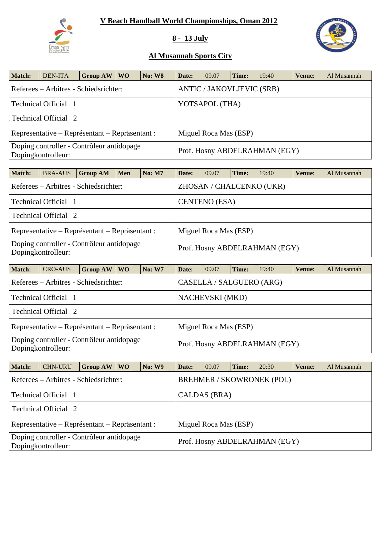

## **8 - 13 July**



| <b>Match:</b>                                                                                    | <b>DEN-ITA</b>                        | Group AW | <b>WO</b> | <b>No: W8</b> | Date: | 09.07                            | Time: | 19:40 | Venue: | Al Musannah |
|--------------------------------------------------------------------------------------------------|---------------------------------------|----------|-----------|---------------|-------|----------------------------------|-------|-------|--------|-------------|
|                                                                                                  | Referees – Arbitres - Schiedsrichter: |          |           |               |       | <b>ANTIC / JAKOVLJEVIC (SRB)</b> |       |       |        |             |
|                                                                                                  | Technical Official 1                  |          |           |               |       | YOTSAPOL (THA)                   |       |       |        |             |
|                                                                                                  | Technical Official 2                  |          |           |               |       |                                  |       |       |        |             |
| Representative – Représentant – Repräsentant :<br>Miguel Roca Mas (ESP)                          |                                       |          |           |               |       |                                  |       |       |        |             |
| Doping controller - Contrôleur antidopage<br>Prof. Hosny ABDELRAHMAN (EGY)<br>Dopingkontrolleur: |                                       |          |           |               |       |                                  |       |       |        |             |

| <b>Match:</b> | <b>BRA-AUS</b>       | <b>Group AM</b>                                | <b>Men</b> | <b>No: M7</b> | Date:                         | 09.07                 | Time: | 19:40                    | Venue: | Al Musannah |  |
|---------------|----------------------|------------------------------------------------|------------|---------------|-------------------------------|-----------------------|-------|--------------------------|--------|-------------|--|
|               |                      | Referees – Arbitres - Schiedsrichter:          |            |               |                               |                       |       | ZHOSAN / CHALCENKO (UKR) |        |             |  |
|               | Technical Official 1 |                                                |            |               |                               | <b>CENTENO</b> (ESA)  |       |                          |        |             |  |
|               | Technical Official 2 |                                                |            |               |                               |                       |       |                          |        |             |  |
|               |                      | Representative – Représentant – Repräsentant : |            |               |                               | Miguel Roca Mas (ESP) |       |                          |        |             |  |
|               | Dopingkontrolleur:   | Doping controller - Contrôleur antidopage      |            |               | Prof. Hosny ABDELRAHMAN (EGY) |                       |       |                          |        |             |  |

| <b>Match:</b> | <b>CRO-AUS</b>                                                  | <b>Group AW</b> | W <sub>O</sub> | <b>No: W7</b> | Date:                  | 09.07                         | Time: | 19:40 | Venue: | Al Musannah |  |  |
|---------------|-----------------------------------------------------------------|-----------------|----------------|---------------|------------------------|-------------------------------|-------|-------|--------|-------------|--|--|
|               | Referees – Arbitres - Schiedsrichter:                           |                 |                |               |                        | CASELLA / SALGUERO (ARG)      |       |       |        |             |  |  |
|               | Technical Official 1                                            |                 |                |               | <b>NACHEVSKI</b> (MKD) |                               |       |       |        |             |  |  |
|               | Technical Official 2                                            |                 |                |               |                        |                               |       |       |        |             |  |  |
|               | Representative – Représentant – Repräsentant :                  |                 |                |               |                        | Miguel Roca Mas (ESP)         |       |       |        |             |  |  |
|               | Doping controller - Contrôleur antidopage<br>Dopingkontrolleur: |                 |                |               |                        | Prof. Hosny ABDELRAHMAN (EGY) |       |       |        |             |  |  |

| <b>Match:</b> | <b>CHN-URU</b>                                                  | <b>Group AW</b> | WO \ | <b>No: W9</b>         | Date: | 09.07        | Time: | 20:30                            | Venue: | Al Musannah |  |  |
|---------------|-----------------------------------------------------------------|-----------------|------|-----------------------|-------|--------------|-------|----------------------------------|--------|-------------|--|--|
|               | Referees – Arbitres - Schiedsrichter:                           |                 |      |                       |       |              |       | <b>BREHMER / SKOWRONEK (POL)</b> |        |             |  |  |
|               | Technical Official 1                                            |                 |      |                       |       | CALDAS (BRA) |       |                                  |        |             |  |  |
|               | Technical Official 2                                            |                 |      |                       |       |              |       |                                  |        |             |  |  |
|               | Representative – Représentant – Repräsentant :                  |                 |      | Miguel Roca Mas (ESP) |       |              |       |                                  |        |             |  |  |
|               | Doping controller - Contrôleur antidopage<br>Dopingkontrolleur: |                 |      |                       |       |              |       | Prof. Hosny ABDELRAHMAN (EGY)    |        |             |  |  |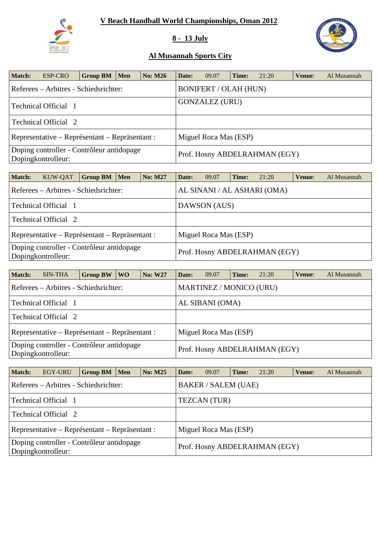

## **8 - 13 July**



| <b>Match:</b> | ESP-CRO                                                         | Group BM $\mid$ | Men | <b>No: M26</b> | Date: | 09.07                         | Time: | 21:20 | Venue: | Al Musannah |
|---------------|-----------------------------------------------------------------|-----------------|-----|----------------|-------|-------------------------------|-------|-------|--------|-------------|
|               | Referees – Arbitres - Schiedsrichter:                           |                 |     |                |       | <b>BONIFERT / OLAH (HUN)</b>  |       |       |        |             |
|               | Technical Official 1                                            |                 |     |                |       | <b>GONZALEZ (URU)</b>         |       |       |        |             |
|               | Technical Official 2                                            |                 |     |                |       |                               |       |       |        |             |
|               | Representative – Représentant – Repräsentant :                  |                 |     |                |       | Miguel Roca Mas (ESP)         |       |       |        |             |
|               | Doping controller - Contrôleur antidopage<br>Dopingkontrolleur: |                 |     |                |       | Prof. Hosny ABDELRAHMAN (EGY) |       |       |        |             |

| <b>Match:</b> | KUW-QAT                                                         | <b>Group BM</b> | <b>Men</b> | <b>No: M27</b> | Date:                 | 09.07                         | Time: | 21:20                       | Venue: | Al Musannah |  |  |
|---------------|-----------------------------------------------------------------|-----------------|------------|----------------|-----------------------|-------------------------------|-------|-----------------------------|--------|-------------|--|--|
|               | Referees – Arbitres - Schiedsrichter:                           |                 |            |                |                       |                               |       | AL SINANI / AL ASHARI (OMA) |        |             |  |  |
|               | Technical Official 1                                            |                 |            |                |                       | DAWSON (AUS)                  |       |                             |        |             |  |  |
|               | Technical Official 2                                            |                 |            |                |                       |                               |       |                             |        |             |  |  |
|               | Representative – Représentant – Repräsentant :                  |                 |            |                | Miguel Roca Mas (ESP) |                               |       |                             |        |             |  |  |
|               | Doping controller - Contrôleur antidopage<br>Dopingkontrolleur: |                 |            |                |                       | Prof. Hosny ABDELRAHMAN (EGY) |       |                             |        |             |  |  |

| <b>Match:</b>                                                   | <b>SIN-THA</b>                                 | <b>Group BW</b> | WO <sub>1</sub> | <b>No: W27</b> | Date:           | 09.07                   | Time: | 21:20                         | Venue: | Al Musannah |  |
|-----------------------------------------------------------------|------------------------------------------------|-----------------|-----------------|----------------|-----------------|-------------------------|-------|-------------------------------|--------|-------------|--|
|                                                                 | Referees – Arbitres - Schiedsrichter:          |                 |                 |                |                 | MARTINEZ / MONICO (URU) |       |                               |        |             |  |
|                                                                 | Technical Official 1                           |                 |                 |                | AL SIBANI (OMA) |                         |       |                               |        |             |  |
|                                                                 | Technical Official 2                           |                 |                 |                |                 |                         |       |                               |        |             |  |
|                                                                 | Representative – Représentant – Repräsentant : |                 |                 |                |                 | Miguel Roca Mas (ESP)   |       |                               |        |             |  |
| Doping controller - Contrôleur antidopage<br>Dopingkontrolleur: |                                                |                 |                 |                |                 |                         |       | Prof. Hosny ABDELRAHMAN (EGY) |        |             |  |

| <b>Match:</b> | <b>EGY-URU</b>                                                  | Group BM $\mid$ | Men                           | <b>No: M25</b> | Date:               | 09.07                      | Time: | 21:20 | Venue: | Al Musannah |  |
|---------------|-----------------------------------------------------------------|-----------------|-------------------------------|----------------|---------------------|----------------------------|-------|-------|--------|-------------|--|
|               | Referees – Arbitres - Schiedsrichter:                           |                 |                               |                |                     | <b>BAKER / SALEM (UAE)</b> |       |       |        |             |  |
|               | Technical Official 1                                            |                 |                               |                | <b>TEZCAN</b> (TUR) |                            |       |       |        |             |  |
|               | Technical Official 2                                            |                 |                               |                |                     |                            |       |       |        |             |  |
|               | Representative – Représentant – Repräsentant :                  |                 |                               |                |                     | Miguel Roca Mas (ESP)      |       |       |        |             |  |
|               | Doping controller - Contrôleur antidopage<br>Dopingkontrolleur: |                 | Prof. Hosny ABDELRAHMAN (EGY) |                |                     |                            |       |       |        |             |  |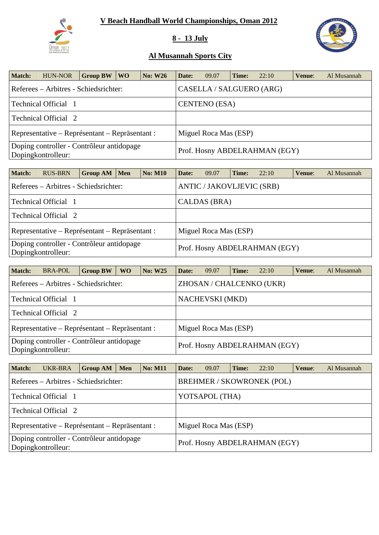

## **8 - 13 July**



| Match:                                                          | <b>HUN-NOR</b>                                 | Group BW $\vert$ | WO. | <b>No: W26</b> | Date:                 | 09.07                         | Time: | 22:10 | Venue: | Al Musannah |  |
|-----------------------------------------------------------------|------------------------------------------------|------------------|-----|----------------|-----------------------|-------------------------------|-------|-------|--------|-------------|--|
|                                                                 | Referees – Arbitres - Schiedsrichter:          |                  |     |                |                       | CASELLA / SALGUERO (ARG)      |       |       |        |             |  |
|                                                                 | Technical Official 1                           |                  |     |                |                       | <b>CENTENO</b> (ESA)          |       |       |        |             |  |
|                                                                 | Technical Official 2                           |                  |     |                |                       |                               |       |       |        |             |  |
|                                                                 | Representative – Représentant – Repräsentant : |                  |     |                | Miguel Roca Mas (ESP) |                               |       |       |        |             |  |
| Doping controller - Contrôleur antidopage<br>Dopingkontrolleur: |                                                |                  |     |                |                       | Prof. Hosny ABDELRAHMAN (EGY) |       |       |        |             |  |

| Match: | <b>RUS-BRN</b>                                                  | Group AM   Men |                               | <b>No: M10</b> | Date:        | 09.07                            | Time: | 22:10 | Venue: | Al Musannah |  |
|--------|-----------------------------------------------------------------|----------------|-------------------------------|----------------|--------------|----------------------------------|-------|-------|--------|-------------|--|
|        | Referees – Arbitres - Schiedsrichter:                           |                |                               |                |              | <b>ANTIC / JAKOVLJEVIC (SRB)</b> |       |       |        |             |  |
|        | Technical Official 1                                            |                |                               |                | CALDAS (BRA) |                                  |       |       |        |             |  |
|        | Technical Official 2                                            |                |                               |                |              |                                  |       |       |        |             |  |
|        | Representative – Représentant – Repräsentant :                  |                |                               |                |              | Miguel Roca Mas (ESP)            |       |       |        |             |  |
|        | Doping controller - Contrôleur antidopage<br>Dopingkontrolleur: |                | Prof. Hosny ABDELRAHMAN (EGY) |                |              |                                  |       |       |        |             |  |

| Match: | <b>BRA-POL</b>                                                  | <b>Group BW</b> | <b>WO</b> | <b>No: W25</b> | Date: | 09.07                         | Time: | 22:10                    | Venue: | Al Musannah |  |
|--------|-----------------------------------------------------------------|-----------------|-----------|----------------|-------|-------------------------------|-------|--------------------------|--------|-------------|--|
|        | Referees – Arbitres - Schiedsrichter:                           |                 |           |                |       |                               |       | ZHOSAN / CHALCENKO (UKR) |        |             |  |
|        | Technical Official 1                                            |                 |           |                |       | <b>NACHEVSKI</b> (MKD)        |       |                          |        |             |  |
|        | Technical Official 2                                            |                 |           |                |       |                               |       |                          |        |             |  |
|        | Representative – Représentant – Repräsentant :                  |                 |           |                |       | Miguel Roca Mas (ESP)         |       |                          |        |             |  |
|        | Doping controller - Contrôleur antidopage<br>Dopingkontrolleur: |                 |           |                |       | Prof. Hosny ABDELRAHMAN (EGY) |       |                          |        |             |  |

| <b>Match:</b>                                                   | UKR-BRA                                        | <b>Group AM</b>                                                           | <b>Men</b> | <b>No: M11</b> | Date: | 09.07                 | Time: | 22:10                         | Venue: | Al Musannah |
|-----------------------------------------------------------------|------------------------------------------------|---------------------------------------------------------------------------|------------|----------------|-------|-----------------------|-------|-------------------------------|--------|-------------|
|                                                                 |                                                | <b>BREHMER / SKOWRONEK (POL)</b><br>Referees – Arbitres - Schiedsrichter: |            |                |       |                       |       |                               |        |             |
|                                                                 | Technical Official 1                           |                                                                           |            |                |       | YOTSAPOL (THA)        |       |                               |        |             |
|                                                                 | Technical Official 2                           |                                                                           |            |                |       |                       |       |                               |        |             |
|                                                                 | Representative – Représentant – Repräsentant : |                                                                           |            |                |       | Miguel Roca Mas (ESP) |       |                               |        |             |
| Doping controller - Contrôleur antidopage<br>Dopingkontrolleur: |                                                |                                                                           |            |                |       |                       |       | Prof. Hosny ABDELRAHMAN (EGY) |        |             |